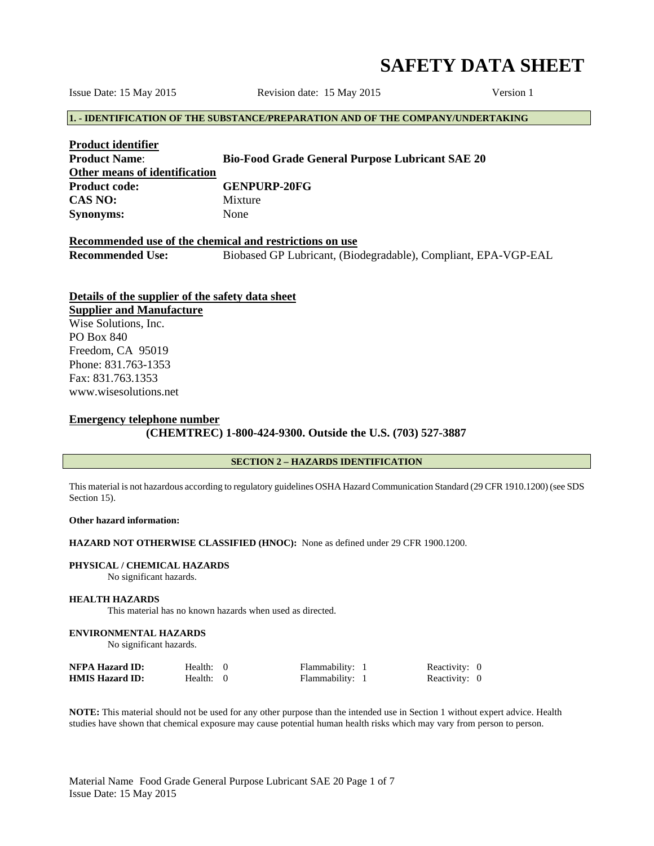# **SAFETY DATA SHEET**

Issue Date: 15 May 2015 Revision date: 15 May 2015 Version 1

# **1. - IDENTIFICATION OF THE SUBSTANCE/PREPARATION AND OF THE COMPANY/UNDERTAKING**

| <b>Product identifier</b>     |                                                        |
|-------------------------------|--------------------------------------------------------|
| <b>Product Name:</b>          | <b>Bio-Food Grade General Purpose Lubricant SAE 20</b> |
| Other means of identification |                                                        |
| <b>Product code:</b>          | <b>GENPURP-20FG</b>                                    |
| CAS NO:                       | Mixture                                                |
| <b>Synonyms:</b>              | None                                                   |

# **Recommended use of the chemical and restrictions on use Recommended Use:** Biobased GP Lubricant, (Biodegradable), Compliant, EPA-VGP-EAL

# **Details of the supplier of the safety data sheet**

**Supplier and Manufacture** Wise Solutions, Inc. PO Box 840 Freedom, CA 95019 Phone: 831.763-1353 Fax: 831.763.1353 www.wisesolutions.net

## **Emergency telephone number**

 **(CHEMTREC) 1-800-424-9300. Outside the U.S. (703) 527-3887** 

## **SECTION 2 – HAZARDS IDENTIFICATION**

This material is not hazardous according to regulatory guidelines OSHA Hazard Communication Standard (29 CFR 1910.1200) (see SDS Section 15).

## **Other hazard information:**

## **HAZARD NOT OTHERWISE CLASSIFIED (HNOC):** None as defined under 29 CFR 1900.1200.

#### **PHYSICAL / CHEMICAL HAZARDS**

No significant hazards.

## **HEALTH HAZARDS**

This material has no known hazards when used as directed.

#### **ENVIRONMENTAL HAZARDS**

No significant hazards.

| <b>NFPA Hazard ID:</b> | Health: $0$ | Flammability:   | Reactivity: 0 |  |
|------------------------|-------------|-----------------|---------------|--|
| <b>HMIS Hazard ID:</b> | Health: $0$ | Flammability: i | Reactivity: 0 |  |

**NOTE:** This material should not be used for any other purpose than the intended use in Section 1 without expert advice. Health studies have shown that chemical exposure may cause potential human health risks which may vary from person to person.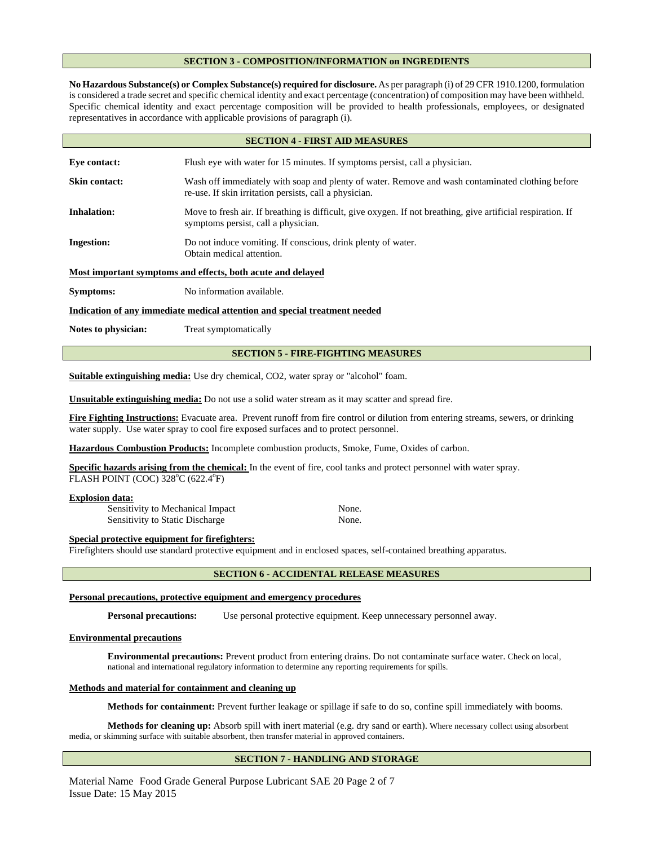## **SECTION 3 - COMPOSITION/INFORMATION on INGREDIENTS**

**No Hazardous Substance(s) or Complex Substance(s) required for disclosure.** As per paragraph (i) of 29 CFR 1910.1200, formulation is considered a trade secret and specific chemical identity and exact percentage (concentration) of composition may have been withheld. Specific chemical identity and exact percentage composition will be provided to health professionals, employees, or designated representatives in accordance with applicable provisions of paragraph (i).

| <b>SECTION 4 - FIRST AID MEASURES</b>                                      |                                                                                                                                                            |  |
|----------------------------------------------------------------------------|------------------------------------------------------------------------------------------------------------------------------------------------------------|--|
| Eve contact:                                                               | Flush eye with water for 15 minutes. If symptoms persist, call a physician.                                                                                |  |
| <b>Skin contact:</b>                                                       | Wash off immediately with soap and plenty of water. Remove and wash contaminated clothing before<br>re-use. If skin irritation persists, call a physician. |  |
| <b>Inhalation:</b>                                                         | Move to fresh air. If breathing is difficult, give oxygen. If not breathing, give artificial respiration. If<br>symptoms persist, call a physician.        |  |
| <b>Ingestion:</b>                                                          | Do not induce vomiting. If conscious, drink plenty of water.<br>Obtain medical attention.                                                                  |  |
| Most important symptoms and effects, both acute and delayed                |                                                                                                                                                            |  |
| Symptoms:                                                                  | No information available.                                                                                                                                  |  |
| Indication of any immediate medical attention and special treatment needed |                                                                                                                                                            |  |

Notes to physician: Treat symptomatically

# **SECTION 5 - FIRE-FIGHTING MEASURES**

**Suitable extinguishing media:** Use dry chemical, CO2, water spray or "alcohol" foam.

**Unsuitable extinguishing media:** Do not use a solid water stream as it may scatter and spread fire.

Fire Fighting Instructions: Evacuate area. Prevent runoff from fire control or dilution from entering streams, sewers, or drinking water supply. Use water spray to cool fire exposed surfaces and to protect personnel.

**Hazardous Combustion Products:** Incomplete combustion products, Smoke, Fume, Oxides of carbon.

**Specific hazards arising from the chemical:** In the event of fire, cool tanks and protect personnel with water spray. FLASH POINT (COC) 328°C (622.4°F)

#### **Explosion data:**

Sensitivity to Mechanical Impact None. Sensitivity to Static Discharge None.

#### **Special protective equipment for firefighters:**

Firefighters should use standard protective equipment and in enclosed spaces, self-contained breathing apparatus.

## **SECTION 6 - ACCIDENTAL RELEASE MEASURES**

## **Personal precautions, protective equipment and emergency procedures**

**Personal precautions:** Use personal protective equipment. Keep unnecessary personnel away.

#### **Environmental precautions**

 **Environmental precautions:** Prevent product from entering drains. Do not contaminate surface water. Check on local, national and international regulatory information to determine any reporting requirements for spills.

#### **Methods and material for containment and cleaning up**

 **Methods for containment:** Prevent further leakage or spillage if safe to do so, confine spill immediately with booms.

 **Methods for cleaning up:** Absorb spill with inert material (e.g. dry sand or earth). Where necessary collect using absorbent media, or skimming surface with suitable absorbent, then transfer material in approved containers.

## **SECTION 7 - HANDLING AND STORAGE**

Material Name Food Grade General Purpose Lubricant SAE 20 Page 2 of 7 Issue Date: 15 May 2015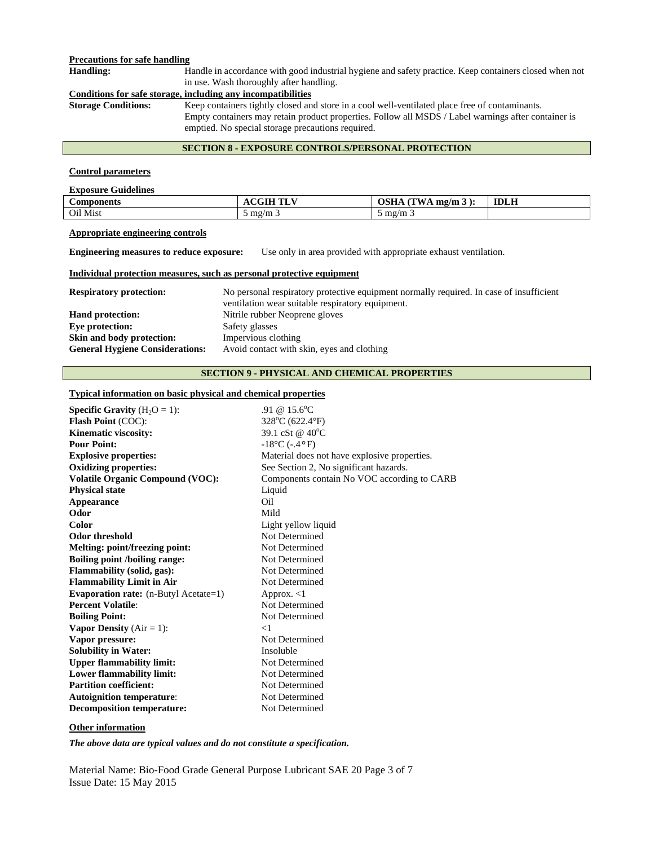## **Precautions for safe handling**

**Handling:** Handle in accordance with good industrial hygiene and safety practice. Keep containers closed when not in use. Wash thoroughly after handling.

**Conditions for safe storage, including any incompatibilities**<br>**Storage Conditions:** Keep containers tightly closed an

Keep containers tightly closed and store in a cool well-ventilated place free of contaminants. Empty containers may retain product properties. Follow all MSDS / Label warnings after container is emptied. No special storage precautions required.

## **SECTION 8 - EXPOSURE CONTROLS/PERSONAL PROTECTION**

#### **Control parameters**

| <b>Exposure Guidelines</b> |                                  |                                  |             |  |
|----------------------------|----------------------------------|----------------------------------|-------------|--|
| <b>Components</b>          | <b>ACGIH TLV</b>                 | OSHA $(TWA mg/m 3)$ :            | <b>IDLH</b> |  |
| Oil Mist                   | $\frac{5}{3}$ mg/m $\frac{2}{3}$ | $\frac{5}{2}$ mg/m $\frac{1}{2}$ |             |  |

## **Appropriate engineering controls**

**Engineering measures to reduce exposure:** Use only in area provided with appropriate exhaust ventilation.

#### **Individual protection measures, such as personal protective equipment**

| <b>Respiratory protection:</b>         | No personal respiratory protective equipment normally required. In case of insufficient |
|----------------------------------------|-----------------------------------------------------------------------------------------|
|                                        | ventilation wear suitable respiratory equipment.                                        |
| <b>Hand protection:</b>                | Nitrile rubber Neoprene gloves                                                          |
| Eve protection:                        | Safety glasses                                                                          |
| Skin and body protection:              | Impervious clothing                                                                     |
| <b>General Hygiene Considerations:</b> | Avoid contact with skin, eyes and clothing                                              |

# **SECTION 9 - PHYSICAL AND CHEMICAL PROPERTIES**

# **Typical information on basic physical and chemical properties**

| <b>Specific Gravity</b> $(H_2O = 1)$ :  | .91 @ $15.6^{\circ}$ C                       |
|-----------------------------------------|----------------------------------------------|
| <b>Flash Point (COC):</b>               | $328^{\circ}$ C (622.4 $^{\circ}$ F)         |
| Kinematic viscosity:                    | 39.1 cSt @ 40 <sup>o</sup> C                 |
| <b>Pour Point:</b>                      | $-18^{\circ}$ C ( $-4^{\circ}$ F)            |
| <b>Explosive properties:</b>            | Material does not have explosive properties. |
| <b>Oxidizing properties:</b>            | See Section 2, No significant hazards.       |
| <b>Volatile Organic Compound (VOC):</b> | Components contain No VOC according to CARB  |
| <b>Physical state</b>                   | Liquid                                       |
| Appearance                              | Oil                                          |
| Odor                                    | Mild                                         |
| Color                                   | Light yellow liquid                          |
| <b>Odor threshold</b>                   | Not Determined                               |
| Melting: point/freezing point:          | Not Determined                               |
| <b>Boiling point /boiling range:</b>    | Not Determined                               |
| Flammability (solid, gas):              | Not Determined                               |
| <b>Flammability Limit in Air</b>        | Not Determined                               |
| Evaporation rate: (n-Butyl Acetate=1)   | Approx. $<$ 1                                |
| <b>Percent Volatile:</b>                | Not Determined                               |
| <b>Boiling Point:</b>                   | Not Determined                               |
| <b>Vapor Density</b> ( $Air = 1$ ):     | $<$ 1                                        |
| Vapor pressure:                         | Not Determined                               |
| <b>Solubility in Water:</b>             | Insoluble                                    |
| <b>Upper flammability limit:</b>        | Not Determined                               |
| <b>Lower flammability limit:</b>        | Not Determined                               |
| <b>Partition coefficient:</b>           | Not Determined                               |
| <b>Autoignition temperature:</b>        | Not Determined                               |
| <b>Decomposition temperature:</b>       | Not Determined                               |
|                                         |                                              |

## **Other information**

*The above data are typical values and do not constitute a specification.* 

Material Name: Bio-Food Grade General Purpose Lubricant SAE 20 Page 3 of 7 Issue Date: 15 May 2015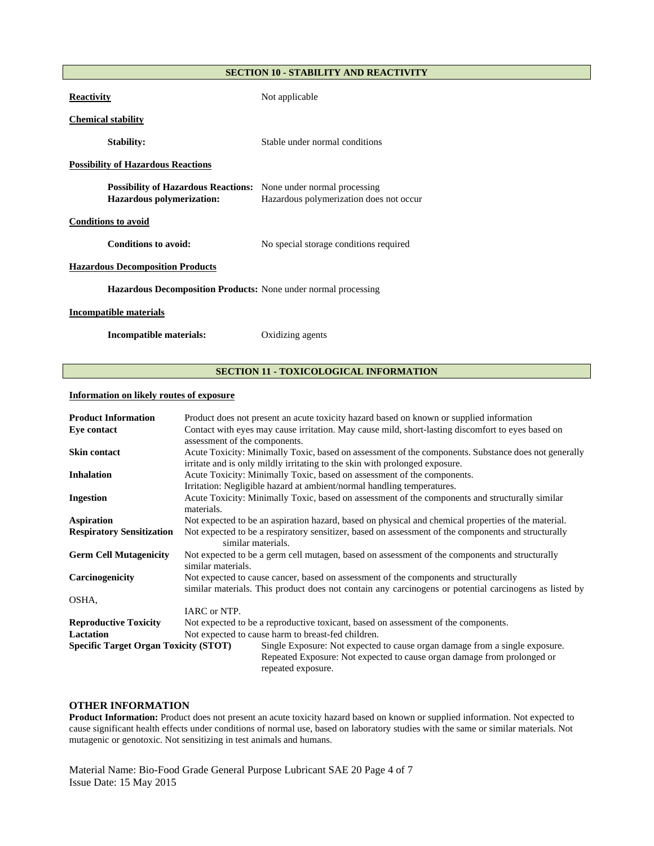## **SECTION 10 - STABILITY AND REACTIVITY**

| <b>Reactivity</b>                                                                                           | Not applicable                          |
|-------------------------------------------------------------------------------------------------------------|-----------------------------------------|
| <b>Chemical stability</b>                                                                                   |                                         |
| <b>Stability:</b>                                                                                           | Stable under normal conditions          |
| <b>Possibility of Hazardous Reactions</b>                                                                   |                                         |
| <b>Possibility of Hazardous Reactions:</b> None under normal processing<br><b>Hazardous polymerization:</b> | Hazardous polymerization does not occur |
| <b>Conditions to avoid</b>                                                                                  |                                         |
| Conditions to avoid:                                                                                        | No special storage conditions required  |
| <b>Hazardous Decomposition Products</b>                                                                     |                                         |
| <b>Hazardous Decomposition Products:</b> None under normal processing                                       |                                         |
| <b>Incompatible materials</b>                                                                               |                                         |
| Incompatible materials:                                                                                     | Oxidizing agents                        |

## **SECTION 11 - TOXICOLOGICAL INFORMATION**

## **Information on likely routes of exposure**

| <b>Product Information</b>                   | Product does not present an acute toxicity hazard based on known or supplied information                                                                                            |  |
|----------------------------------------------|-------------------------------------------------------------------------------------------------------------------------------------------------------------------------------------|--|
| Eye contact                                  | Contact with eyes may cause irritation. May cause mild, short-lasting discomfort to eyes based on<br>assessment of the components.                                                  |  |
| <b>Skin contact</b>                          | Acute Toxicity: Minimally Toxic, based on assessment of the components. Substance does not generally<br>irritate and is only mildly irritating to the skin with prolonged exposure. |  |
| <b>Inhalation</b>                            | Acute Toxicity: Minimally Toxic, based on assessment of the components.                                                                                                             |  |
|                                              | Irritation: Negligible hazard at ambient/normal handling temperatures.                                                                                                              |  |
| Ingestion                                    | Acute Toxicity: Minimally Toxic, based on assessment of the components and structurally similar<br>materials.                                                                       |  |
| Aspiration                                   | Not expected to be an aspiration hazard, based on physical and chemical properties of the material.                                                                                 |  |
| <b>Respiratory Sensitization</b>             | Not expected to be a respiratory sensitizer, based on assessment of the components and structurally<br>similar materials.                                                           |  |
| <b>Germ Cell Mutagenicity</b>                | Not expected to be a germ cell mutagen, based on assessment of the components and structurally<br>similar materials.                                                                |  |
| Carcinogenicity                              | Not expected to cause cancer, based on assessment of the components and structurally                                                                                                |  |
|                                              | similar materials. This product does not contain any carcinogens or potential carcinogens as listed by                                                                              |  |
| OSHA,                                        |                                                                                                                                                                                     |  |
|                                              | IARC or NTP.                                                                                                                                                                        |  |
| <b>Reproductive Toxicity</b>                 | Not expected to be a reproductive toxicant, based on assessment of the components.                                                                                                  |  |
| <b>Lactation</b>                             | Not expected to cause harm to breast-fed children.                                                                                                                                  |  |
| <b>Specific Target Organ Toxicity (STOT)</b> | Single Exposure: Not expected to cause organ damage from a single exposure.                                                                                                         |  |
|                                              | Repeated Exposure: Not expected to cause organ damage from prolonged or<br>repeated exposure.                                                                                       |  |

# **OTHER INFORMATION**

**Product Information:** Product does not present an acute toxicity hazard based on known or supplied information. Not expected to cause significant health effects under conditions of normal use, based on laboratory studies with the same or similar materials. Not mutagenic or genotoxic. Not sensitizing in test animals and humans.

Material Name: Bio-Food Grade General Purpose Lubricant SAE 20 Page 4 of 7 Issue Date: 15 May 2015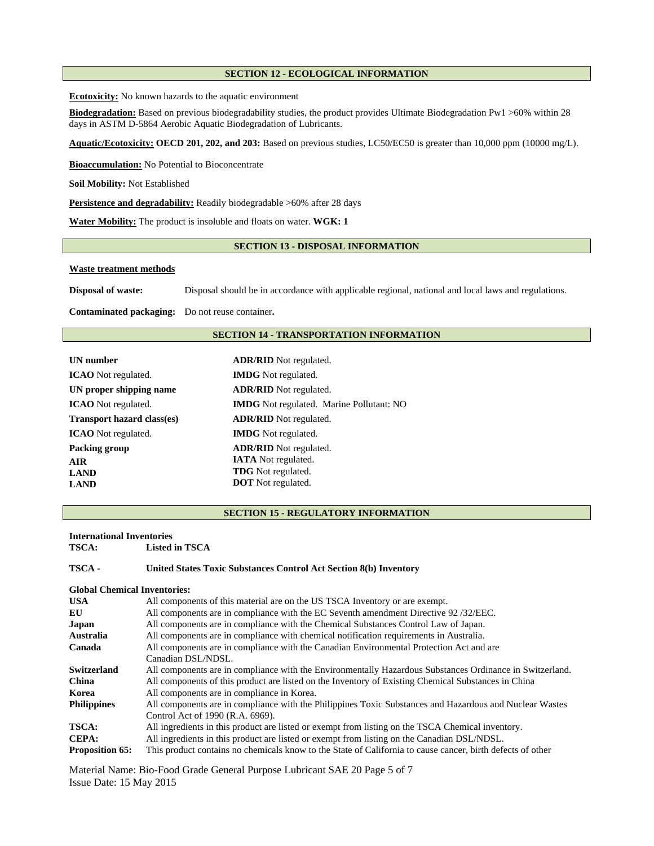## **SECTION 12 - ECOLOGICAL INFORMATION**

**Ecotoxicity:** No known hazards to the aquatic environment

**Biodegradation:** Based on previous biodegradability studies, the product provides Ultimate Biodegradation Pw1 >60% within 28 days in ASTM D-5864 Aerobic Aquatic Biodegradation of Lubricants.

**Aquatic/Ecotoxicity: OECD 201, 202, and 203:** Based on previous studies, LC50/EC50 is greater than 10,000 ppm (10000 mg/L).

**Bioaccumulation:** No Potential to Bioconcentrate

**Soil Mobility:** Not Established

**Persistence and degradability:** Readily biodegradable >60% after 28 days

**Water Mobility:** The product is insoluble and floats on water. **WGK: 1** 

# **SECTION 13 - DISPOSAL INFORMATION**

#### **Waste treatment methods**

**Disposal of waste:** Disposal should be in accordance with applicable regional, national and local laws and regulations.

**Contaminated packaging:** Do not reuse container**.**

## **SECTION 14 - TRANSPORTATION INFORMATION**

| UN number                         | <b>ADR/RID</b> Not regulated.                   |  |  |
|-----------------------------------|-------------------------------------------------|--|--|
| <b>ICAO</b> Not regulated.        | <b>IMDG</b> Not regulated.                      |  |  |
| UN proper shipping name           | <b>ADR/RID</b> Not regulated.                   |  |  |
| <b>ICAO</b> Not regulated.        | <b>IMDG</b> Not regulated. Marine Pollutant: NO |  |  |
| <b>Transport hazard class(es)</b> | <b>ADR/RID</b> Not regulated.                   |  |  |
| <b>ICAO</b> Not regulated.        | <b>IMDG</b> Not regulated.                      |  |  |
| Packing group                     | <b>ADR/RID</b> Not regulated.                   |  |  |
| <b>AIR</b>                        | <b>IATA</b> Not regulated.                      |  |  |
| <b>LAND</b>                       | <b>TDG</b> Not regulated.                       |  |  |
| <b>LAND</b>                       | <b>DOT</b> Not regulated.                       |  |  |

#### **SECTION 15 - REGULATORY INFORMATION**

#### **International Inventories**

**TSCA: Listed in TSCA** 

#### **TSCA - United States Toxic Substances Control Act Section 8(b) Inventory**

| <b>Global Chemical Inventories:</b> |                                                                                                            |
|-------------------------------------|------------------------------------------------------------------------------------------------------------|
| <b>USA</b>                          | All components of this material are on the US TSCA Inventory or are exempt.                                |
| EU                                  | All components are in compliance with the EC Seventh amendment Directive 92/32/EEC.                        |
| Japan                               | All components are in compliance with the Chemical Substances Control Law of Japan.                        |
| Australia                           | All components are in compliance with chemical notification requirements in Australia.                     |
| Canada                              | All components are in compliance with the Canadian Environmental Protection Act and are                    |
|                                     | Canadian DSL/NDSL.                                                                                         |
| Switzerland                         | All components are in compliance with the Environmentally Hazardous Substances Ordinance in Switzerland.   |
| <b>China</b>                        | All components of this product are listed on the Inventory of Existing Chemical Substances in China        |
| Korea                               | All components are in compliance in Korea.                                                                 |
| <b>Philippines</b>                  | All components are in compliance with the Philippines Toxic Substances and Hazardous and Nuclear Wastes    |
|                                     | Control Act of 1990 (R.A. 6969).                                                                           |
| <b>TSCA:</b>                        | All ingredients in this product are listed or exempt from listing on the TSCA Chemical inventory.          |
| CEPA:                               | All ingredients in this product are listed or exempt from listing on the Canadian DSL/NDSL.                |
| <b>Proposition 65:</b>              | This product contains no chemicals know to the State of California to cause cancer, birth defects of other |

Material Name: Bio-Food Grade General Purpose Lubricant SAE 20 Page 5 of 7 Issue Date: 15 May 2015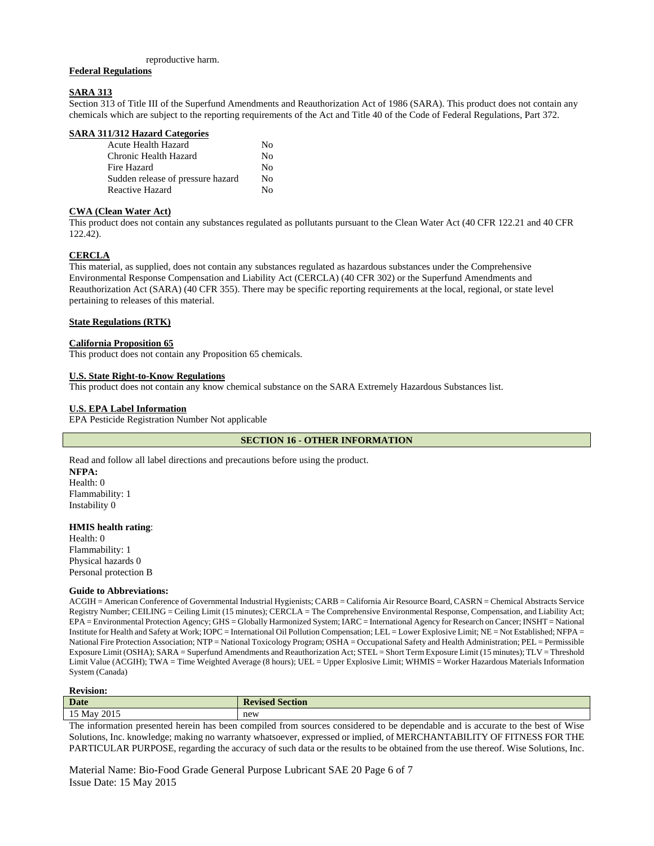#### reproductive harm.

## **Federal Regulations**

#### **SARA 313**

Section 313 of Title III of the Superfund Amendments and Reauthorization Act of 1986 (SARA). This product does not contain any chemicals which are subject to the reporting requirements of the Act and Title 40 of the Code of Federal Regulations, Part 372.

|  |  | <b>SARA 311/312 Hazard Categories</b> |  |  |
|--|--|---------------------------------------|--|--|
|--|--|---------------------------------------|--|--|

| Acute Health Hazard               | Nο           |
|-----------------------------------|--------------|
| Chronic Health Hazard             | Nο           |
| Fire Hazard                       | Nο           |
| Sudden release of pressure hazard | Nο           |
| Reactive Hazard                   | $N_{\Omega}$ |

## **CWA (Clean Water Act)**

This product does not contain any substances regulated as pollutants pursuant to the Clean Water Act (40 CFR 122.21 and 40 CFR 122.42).

# **CERCLA**

This material, as supplied, does not contain any substances regulated as hazardous substances under the Comprehensive Environmental Response Compensation and Liability Act (CERCLA) (40 CFR 302) or the Superfund Amendments and Reauthorization Act (SARA) (40 CFR 355). There may be specific reporting requirements at the local, regional, or state level pertaining to releases of this material.

## **State Regulations (RTK)**

#### **California Proposition 65**

This product does not contain any Proposition 65 chemicals.

#### **U.S. State Right-to-Know Regulations**

This product does not contain any know chemical substance on the SARA Extremely Hazardous Substances list.

## **U.S. EPA Label Information**

EPA Pesticide Registration Number Not applicable

**SECTION 16 - OTHER INFORMATION** 

Read and follow all label directions and precautions before using the product. **NFPA:**  Health: 0 Flammability: 1 Instability 0

# **HMIS health rating**:

Health: 0 Flammability: 1 Physical hazards 0 Personal protection B

#### **Guide to Abbreviations:**

ACGIH = American Conference of Governmental Industrial Hygienists; CARB = California Air Resource Board, CASRN = Chemical Abstracts Service Registry Number; CEILING = Ceiling Limit (15 minutes); CERCLA = The Comprehensive Environmental Response, Compensation, and Liability Act; EPA = Environmental Protection Agency; GHS = Globally Harmonized System; IARC = International Agency for Research on Cancer; INSHT = National Institute for Health and Safety at Work; IOPC = International Oil Pollution Compensation; LEL = Lower Explosive Limit; NE = Not Established; NFPA = National Fire Protection Association; NTP = National Toxicology Program; OSHA = Occupational Safety and Health Administration; PEL = Permissible Exposure Limit (OSHA); SARA = Superfund Amendments and Reauthorization Act; STEL = Short Term Exposure Limit (15 minutes); TLV = Threshold Limit Value (ACGIH); TWA = Time Weighted Average (8 hours); UEL = Upper Explosive Limit; WHMIS = Worker Hazardous Materials Information System (Canada)

#### **Revision:**

| $\sim$ $\sim$ $\sim$ | <b>Date</b>      | $\blacksquare$ Davison<br>vection<br>www<br>$\sim$ 150 $\sim$ |
|----------------------|------------------|---------------------------------------------------------------|
|                      | 2015<br>15 May 1 | new                                                           |

The information presented herein has been compiled from sources considered to be dependable and is accurate to the best of Wise Solutions, Inc. knowledge; making no warranty whatsoever, expressed or implied, of MERCHANTABILITY OF FITNESS FOR THE PARTICULAR PURPOSE, regarding the accuracy of such data or the results to be obtained from the use thereof. Wise Solutions, Inc.

Material Name: Bio-Food Grade General Purpose Lubricant SAE 20 Page 6 of 7 Issue Date: 15 May 2015